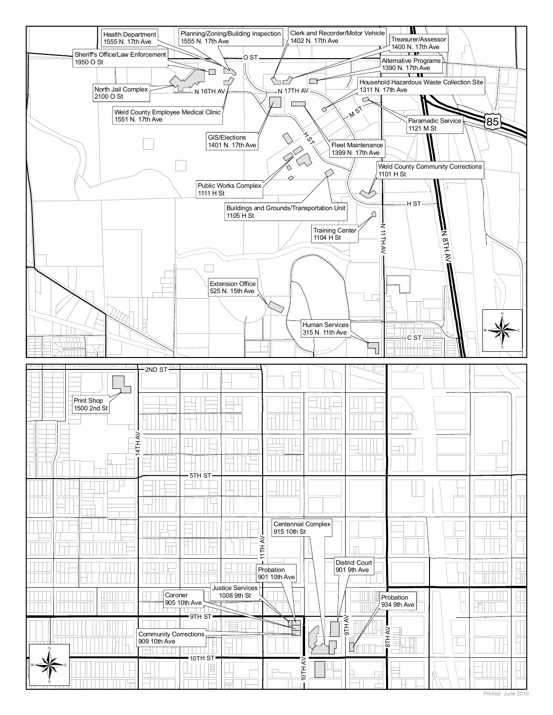

Printed: June 2010